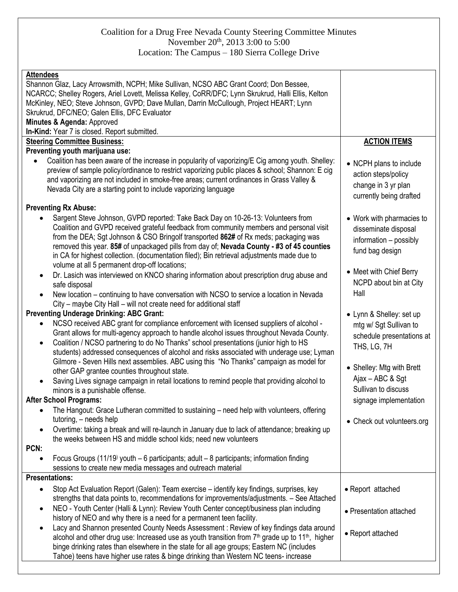## Coalition for a Drug Free Nevada County Steering Committee Minutes November 20<sup>th</sup>, 2013 3:00 to 5:00 Location: The Campus – 180 Sierra College Drive

| <b>Attendees</b><br>Shannon Glaz, Lacy Arrowsmith, NCPH; Mike Sullivan, NCSO ABC Grant Coord; Don Bessee,<br>NCARCC; Shelley Rogers, Ariel Lovett, Melissa Kelley, CoRR/DFC; Lynn Skrukrud, Halli Ellis, Kelton<br>McKinley, NEO; Steve Johnson, GVPD; Dave Mullan, Darrin McCullough, Project HEART; Lynn<br>Skrukrud, DFC/NEO; Galen Ellis, DFC Evaluator<br>Minutes & Agenda: Approved<br>In-Kind: Year 7 is closed. Report submitted.<br><b>Steering Committee Business:</b><br>Preventing youth marijuana use:<br>Coalition has been aware of the increase in popularity of vaporizing/E Cig among youth. Shelley:<br>$\bullet$                                                                                                                                                                                                                                                                                                                                                                                                                                                                                                                                    | <b>ACTION ITEMS</b><br>• NCPH plans to include                                                                                                                                                                                 |
|-------------------------------------------------------------------------------------------------------------------------------------------------------------------------------------------------------------------------------------------------------------------------------------------------------------------------------------------------------------------------------------------------------------------------------------------------------------------------------------------------------------------------------------------------------------------------------------------------------------------------------------------------------------------------------------------------------------------------------------------------------------------------------------------------------------------------------------------------------------------------------------------------------------------------------------------------------------------------------------------------------------------------------------------------------------------------------------------------------------------------------------------------------------------------|--------------------------------------------------------------------------------------------------------------------------------------------------------------------------------------------------------------------------------|
| preview of sample policy/ordinance to restrict vaporizing public places & school; Shannon: E cig<br>and vaporizing are not included in smoke-free areas; current ordinances in Grass Valley &<br>Nevada City are a starting point to include vaporizing language                                                                                                                                                                                                                                                                                                                                                                                                                                                                                                                                                                                                                                                                                                                                                                                                                                                                                                        | action steps/policy<br>change in 3 yr plan<br>currently being drafted                                                                                                                                                          |
| <b>Preventing Rx Abuse:</b>                                                                                                                                                                                                                                                                                                                                                                                                                                                                                                                                                                                                                                                                                                                                                                                                                                                                                                                                                                                                                                                                                                                                             |                                                                                                                                                                                                                                |
| Sargent Steve Johnson, GVPD reported: Take Back Day on 10-26-13: Volunteers from<br>Coalition and GVPD received grateful feedback from community members and personal visit<br>from the DEA; Sgt Johnson & CSO Bringolf transported 862# of Rx meds; packaging was<br>removed this year. 85# of unpackaged pills from day of; Nevada County - #3 of 45 counties<br>in CA for highest collection. (documentation filed); Bin retrieval adjustments made due to<br>volume at all 5 permanent drop-off locations;                                                                                                                                                                                                                                                                                                                                                                                                                                                                                                                                                                                                                                                          | • Work with pharmacies to<br>disseminate disposal<br>information - possibly<br>fund bag design<br>• Meet with Chief Berry                                                                                                      |
| Dr. Lasich was interviewed on KNCO sharing information about prescription drug abuse and<br>$\bullet$<br>safe disposal<br>New location – continuing to have conversation with NCSO to service a location in Nevada<br>$\bullet$                                                                                                                                                                                                                                                                                                                                                                                                                                                                                                                                                                                                                                                                                                                                                                                                                                                                                                                                         | NCPD about bin at City<br>Hall                                                                                                                                                                                                 |
| City - maybe City Hall - will not create need for additional staff                                                                                                                                                                                                                                                                                                                                                                                                                                                                                                                                                                                                                                                                                                                                                                                                                                                                                                                                                                                                                                                                                                      |                                                                                                                                                                                                                                |
| <b>Preventing Underage Drinking: ABC Grant:</b><br>NCSO received ABC grant for compliance enforcement with licensed suppliers of alcohol -<br>Grant allows for multi-agency approach to handle alcohol issues throughout Nevada County.<br>Coalition / NCSO partnering to do No Thanks" school presentations (junior high to HS<br>$\bullet$<br>students) addressed consequences of alcohol and risks associated with underage use; Lyman<br>Gilmore - Seven Hills next assemblies. ABC using this "No Thanks" campaign as model for<br>other GAP grantee counties throughout state.<br>Saving Lives signage campaign in retail locations to remind people that providing alcohol to<br>minors is a punishable offense.<br><b>After School Programs:</b><br>The Hangout: Grace Lutheran committed to sustaining - need help with volunteers, offering<br>tutoring, - needs help<br>Overtime: taking a break and will re-launch in January due to lack of attendance; breaking up<br>$\bullet$<br>the weeks between HS and middle school kids; need new volunteers<br>PCN:<br>Focus Groups (11/19) youth $-6$ participants; adult $-8$ participants; information finding | • Lynn & Shelley: set up<br>mtg w/ Sgt Sullivan to<br>schedule presentations at<br>THS, LG, 7H<br>• Shelley: Mtg with Brett<br>Ajax - ABC & Sgt<br>Sullivan to discuss<br>signage implementation<br>• Check out volunteers.org |
| sessions to create new media messages and outreach material                                                                                                                                                                                                                                                                                                                                                                                                                                                                                                                                                                                                                                                                                                                                                                                                                                                                                                                                                                                                                                                                                                             |                                                                                                                                                                                                                                |
| <b>Presentations:</b>                                                                                                                                                                                                                                                                                                                                                                                                                                                                                                                                                                                                                                                                                                                                                                                                                                                                                                                                                                                                                                                                                                                                                   |                                                                                                                                                                                                                                |
| Stop Act Evaluation Report (Galen): Team exercise – identify key findings, surprises, key<br>$\bullet$<br>strengths that data points to, recommendations for improvements/adjustments. - See Attached<br>NEO - Youth Center (Halli & Lynn): Review Youth Center concept/business plan including<br>٠<br>history of NEO and why there is a need for a permanent teen facility.                                                                                                                                                                                                                                                                                                                                                                                                                                                                                                                                                                                                                                                                                                                                                                                           | • Report attached<br>• Presentation attached                                                                                                                                                                                   |
| Lacy and Shannon presented County Needs Assessment: Review of key findings data around<br>$\bullet$<br>alcohol and other drug use: Increased use as youth transition from $7th$ grade up to 11 <sup>th</sup> , higher<br>binge drinking rates than elsewhere in the state for all age groups; Eastern NC (includes<br>Tahoe) teens have higher use rates & binge drinking than Western NC teens-increase                                                                                                                                                                                                                                                                                                                                                                                                                                                                                                                                                                                                                                                                                                                                                                | • Report attached                                                                                                                                                                                                              |